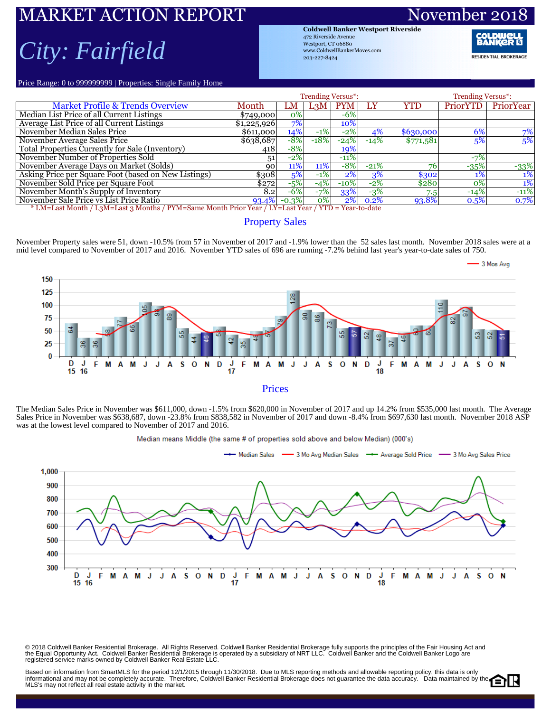### RKET ACTION REPORT Novem *City: Fairfield*

**Coldwell Banker Westport Riverside** 472 Riverside Avenue Westport, CT 06880 www.ColdwellBankerMoves.com 203-227-8424

**RESIDENTIAL BROKERAGE** 

Price Range: 0 to 999999999 | Properties: Single Family Home

|                                                                                                     |             | <b>Trending Versus*:</b> |                  | <b>Trending Versus*:</b> |        |            |          |           |  |  |  |  |
|-----------------------------------------------------------------------------------------------------|-------------|--------------------------|------------------|--------------------------|--------|------------|----------|-----------|--|--|--|--|
| <b>Market Profile &amp; Trends Overview</b>                                                         | Month       | LM                       | L <sub>3</sub> M | <b>PYM</b>               | LY     | YTD        | PriorYTD | PriorYear |  |  |  |  |
| Median List Price of all Current Listings                                                           | \$749,000   | 0%                       |                  | $-6%$                    |        |            |          |           |  |  |  |  |
| Average List Price of all Current Listings                                                          | \$1,225,926 | 7%                       |                  | 10%                      |        |            |          |           |  |  |  |  |
| November Median Sales Price                                                                         | \$611,000   | 14%                      | $-1\%$           | $-2%$                    | 4%     | \$6,30,000 | 6%       | 7%        |  |  |  |  |
| November Average Sales Price                                                                        | \$638,687   | $-8%$                    | $-18%$           | $-24%$                   | $-14%$ | \$771,581  | 5%       | 5%        |  |  |  |  |
| Total Properties Currently for Sale (Inventory)                                                     | 418         | $-8%$                    |                  | 19%                      |        |            |          |           |  |  |  |  |
| November Number of Properties Sold                                                                  | 51          | $-2\%$                   |                  | $-11%$                   |        |            | $-7%$    |           |  |  |  |  |
| November Average Days on Market (Solds)                                                             | 90          | 11%                      | 11%              | $-8%$                    | $-21%$ | 76         | $-35%$   | $-33%$    |  |  |  |  |
| Asking Price per Square Foot (based on New Listings)                                                | \$308       | 5%                       | $-1\%$           | $2\%$                    | 3%     | \$302      | 1%       | 1%        |  |  |  |  |
| November Sold Price per Square Foot                                                                 | \$272       | $-5%$                    | $-4%$            | $-10\%$                  | $-2%$  | \$280      | 0%       | $1\%$     |  |  |  |  |
| November Month's Supply of Inventory                                                                | 8.2         | $-6%$                    | $-7%$            | 33%                      | $-3%$  | 7.5        | $-14%$   | $-11%$    |  |  |  |  |
| November Sale Price vs List Price Ratio                                                             | $93.4\%$    | $-0.3\%$                 | $ 0\% $          | 2%                       | 0.2%   | 93.8%      | 0.5%     | 0.7%      |  |  |  |  |
| * LM=Last Month / L3M=Last 3 Months / PYM=Same Month Prior Year / LY=Last Year / YTD = Year-to-date |             |                          |                  |                          |        |            |          |           |  |  |  |  |

#### Property Sales

November Property sales were 51, down -10.5% from 57 in November of 2017 and -1.9% lower than the 52 sales last month. November 2018 sales were at a mid level compared to November of 2017 and 2016. November YTD sales of 696 are running -7.2% behind last year's year-to-date sales of 750.



The Median Sales Price in November was \$611,000, down -1.5% from \$620,000 in November of 2017 and up 14.2% from \$535,000 last month. The Average Sales Price in November was \$638,687, down -23.8% from \$838,582 in November of 2017 and down -8.4% from \$697,630 last month. November 2018 ASP was at the lowest level compared to November of 2017 and 2016.



Median means Middle (the same # of properties sold above and below Median) (000's)

© 2018 Coldwell Banker Residential Brokerage. All Rights Reserved. Coldwell Banker Residential Brokerage fully supports the principles of the Fair Housing Act and<br>the Equal Opportunity Act. Coldwell Banker Realential Bro

Based on information from SmartMLS for the period 12/1/2015 through 11/30/2018. Due to MLS reporting methods and allowable reporting policy, this data is only informational and may not be completely accurate. Therefore, Coldwell Banker Residential Brokerage does not guarantee the data accuracy. Data maintained by the MLS's may not reflect all real estate activity in the market.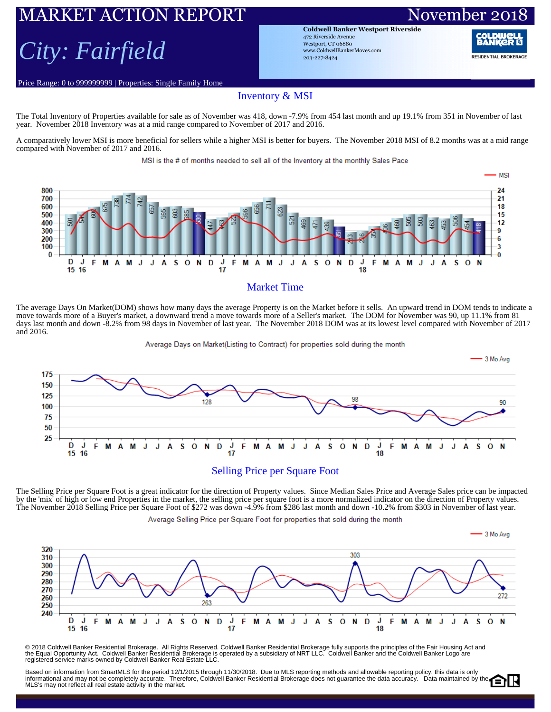# ARKET ACTION REPORT November 20

## *City: Fairfield*

Price Range: 0 to 999999999 | Properties: Single Family Home

**Coldwell Banker Westport Riverside** 472 Riverside Avenue Westport, CT 06880 www.ColdwellBankerMoves.com 203-227-8424

RANI **RESIDENTIAL BROKERAGE** 

#### Inventory & MSI

The Total Inventory of Properties available for sale as of November was 418, down -7.9% from 454 last month and up 19.1% from 351 in November of last year. November 2018 Inventory was at a mid range compared to November of 2017 and 2016.

A comparatively lower MSI is more beneficial for sellers while a higher MSI is better for buyers. The November 2018 MSI of 8.2 months was at a mid range compared with November of 2017 and 2016.

MSI is the # of months needed to sell all of the Inventory at the monthly Sales Pace



#### Market Time

The average Days On Market(DOM) shows how many days the average Property is on the Market before it sells. An upward trend in DOM tends to indicate a move towards more of a Buyer's market, a downward trend a move towards more of a Seller's market. The DOM for November was 90, up 11.1% from 81 days last month and down -8.2% from 98 days in November of last year. The November 2018 DOM was at its lowest level compared with November of 2017 and 2016.

Average Days on Market(Listing to Contract) for properties sold during the month



The Selling Price per Square Foot is a great indicator for the direction of Property values. Since Median Sales Price and Average Sales price can be impacted by the 'mix' of high or low end Properties in the market, the selling price per square foot is a more normalized indicator on the direction of Property values. The November 2018 Selling Price per Square Foot of \$272 was down -4.9% from \$286 last month and down -10.2% from \$303 in November of last year.

Average Selling Price per Square Foot for properties that sold during the month



© 2018 Coldwell Banker Residential Brokerage. All Rights Reserved. Coldwell Banker Residential Brokerage fully supports the principles of the Fair Housing Act and<br>the Equal Opportunity Act. Coldwell Banker Realential Bro

Based on information from SmartMLS for the period 12/1/2015 through 11/30/2018. Due to MLS reporting methods and allowable reporting policy, this data is only Dased of information form official with the period in the computation of the control of the computational and may not be completely accuracy. Data maintained by the MLS's may not reflect all real estate activity in the market.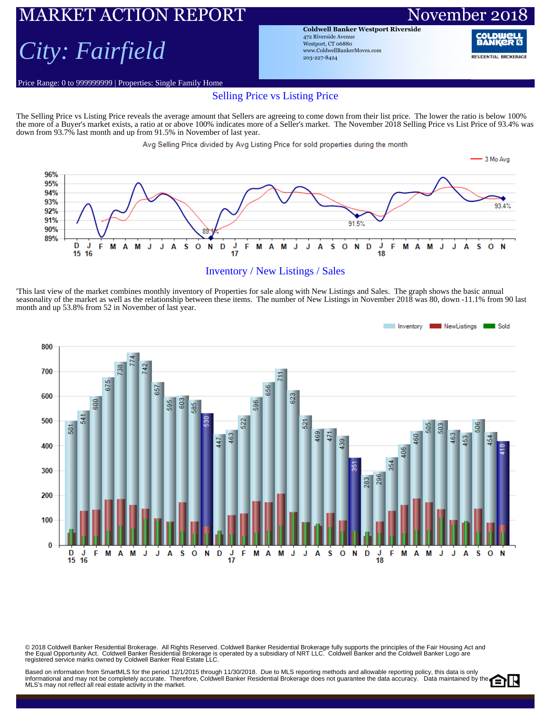### MARKET ACTION REPORT November 20 *City: Fairfield*

Price Range: 0 to 999999999 | Properties: Single Family Home

**Coldwell Banker Westport Riverside** 472 Riverside Avenue Westport, CT 06880 www.ColdwellBankerMoves.com 203-227-8424

RANI

**RESIDENTIAL BROKERAGE** 

### Selling Price vs Listing Price

The Selling Price vs Listing Price reveals the average amount that Sellers are agreeing to come down from their list price. The lower the ratio is below 100% the more of a Buyer's market exists, a ratio at or above 100% indicates more of a Seller's market. The November 2018 Selling Price vs List Price of 93.4% was down from 93.7% last month and up from 91.5% in November of last year.

#### Avg Selling Price divided by Avg Listing Price for sold properties during the month





'This last view of the market combines monthly inventory of Properties for sale along with New Listings and Sales. The graph shows the basic annual seasonality of the market as well as the relationship between these items. The number of New Listings in November 2018 was 80, down -11.1% from 90 last month and up 53.8% from 52 in November of last year.



© 2018 Coldwell Banker Residential Brokerage. All Rights Reserved. Coldwell Banker Residential Brokerage fully supports the principles of the Fair Housing Act and<br>the Equal Opportunity Act. Coldwell Banker Realential Bro

Based on information from SmartMLS for the period 12/1/2015 through 11/30/2018. Due to MLS reporting methods and allowable reporting policy, this data is only Dased on information from Unitativity for the period 12 (1201) with the set of the Coldwell Banker Residential Brokerage does not guarantee the data accuracy. Data maintained by the MLS's may not reflect all real estate activity in the market.